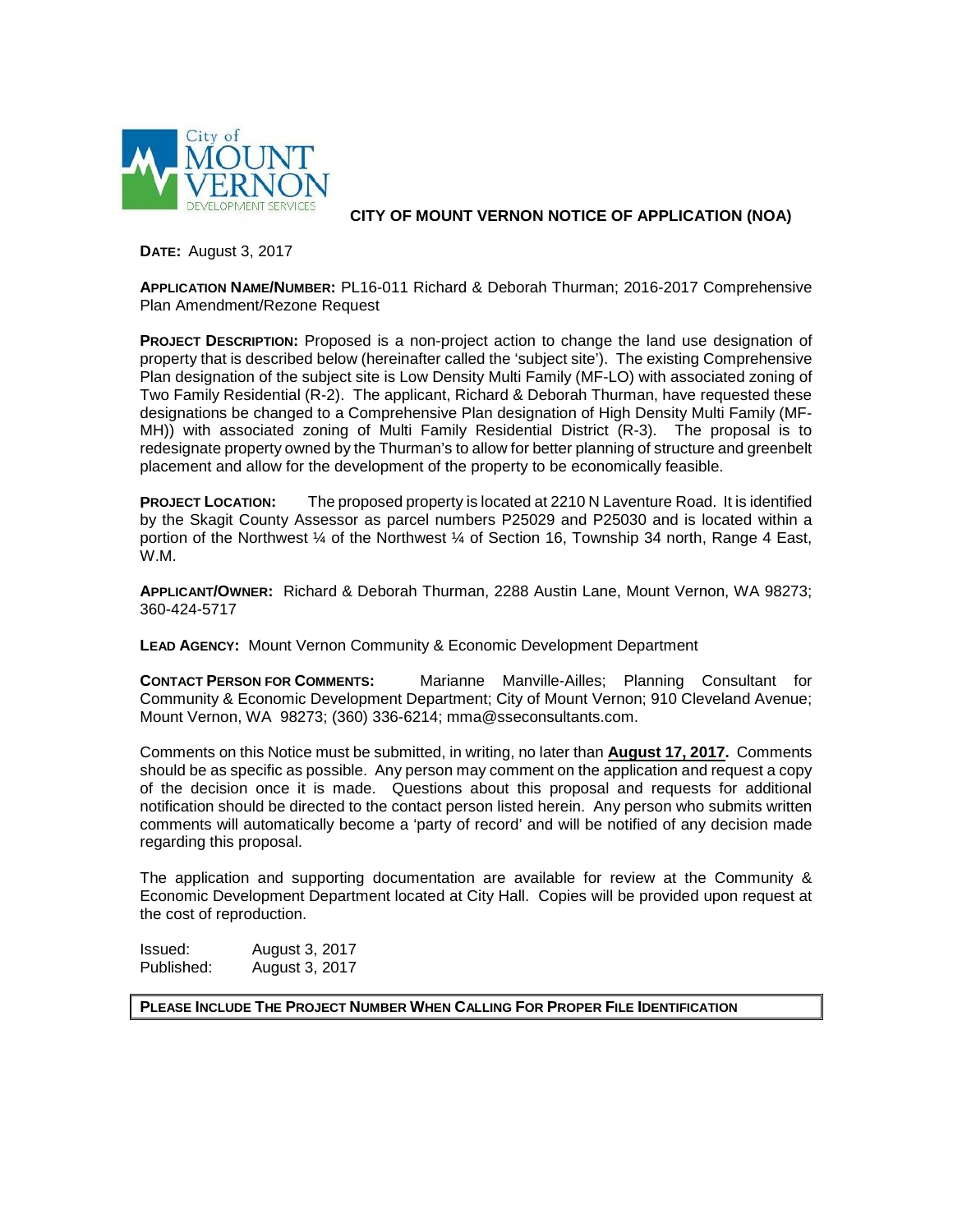

**CITY OF MOUNT VERNON NOTICE OF APPLICATION (NOA)**

**DATE:** August 3, 2017

**APPLICATION NAME/NUMBER:** PL16-011 Richard & Deborah Thurman; 2016-2017 Comprehensive Plan Amendment/Rezone Request

**PROJECT DESCRIPTION:** Proposed is a non-project action to change the land use designation of property that is described below (hereinafter called the 'subject site'). The existing Comprehensive Plan designation of the subject site is Low Density Multi Family (MF-LO) with associated zoning of Two Family Residential (R-2). The applicant, Richard & Deborah Thurman, have requested these designations be changed to a Comprehensive Plan designation of High Density Multi Family (MF-MH)) with associated zoning of Multi Family Residential District (R-3). The proposal is to redesignate property owned by the Thurman's to allow for better planning of structure and greenbelt placement and allow for the development of the property to be economically feasible.

**PROJECT LOCATION:** The proposed property is located at 2210 N Laventure Road. It is identified by the Skagit County Assessor as parcel numbers P25029 and P25030 and is located within a portion of the Northwest  $\frac{1}{4}$  of the Northwest  $\frac{1}{4}$  of Section 16, Township 34 north, Range 4 East, W.M.

**APPLICANT/OWNER:** Richard & Deborah Thurman, 2288 Austin Lane, Mount Vernon, WA 98273; 360-424-5717

**LEAD AGENCY:** Mount Vernon Community & Economic Development Department

**CONTACT PERSON FOR COMMENTS:** Marianne Manville-Ailles; Planning Consultant for Community & Economic Development Department; City of Mount Vernon; 910 Cleveland Avenue; Mount Vernon, WA 98273; (360) 336-6214; mma@sseconsultants.com.

Comments on this Notice must be submitted, in writing, no later than **August 17, 2017.** Comments should be as specific as possible. Any person may comment on the application and request a copy of the decision once it is made. Questions about this proposal and requests for additional notification should be directed to the contact person listed herein. Any person who submits written comments will automatically become a 'party of record' and will be notified of any decision made regarding this proposal.

The application and supporting documentation are available for review at the Community & Economic Development Department located at City Hall. Copies will be provided upon request at the cost of reproduction.

**Issued:** August 3, 2017<br>Published: August 3, 2017 August 3, 2017

**PLEASE INCLUDE THE PROJECT NUMBER WHEN CALLING FOR PROPER FILE IDENTIFICATION**